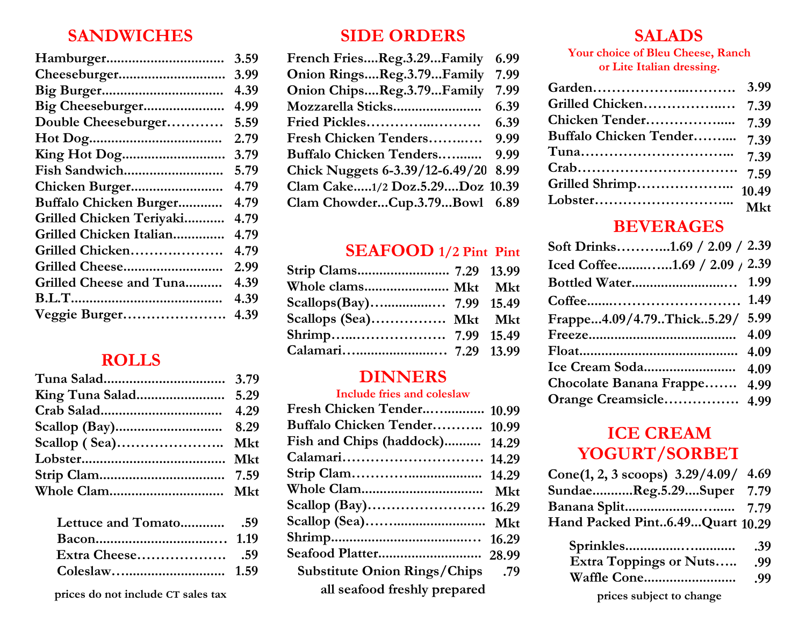#### **SANDWICHES**

| 3.59 |
|------|
| 3.99 |
| 4.39 |
| 4.99 |
| 5.59 |
| 2.79 |
| 3.79 |
| 5.79 |
| 4.79 |
| 4.79 |
| 4.79 |
| 4.79 |
| 4.79 |
| 2.99 |
| 4.39 |
| 4.39 |
| 4.39 |
|      |

#### **ROLLS**

 **prices do not include CT sales tax**

#### **SIDE ORDERS**

| French FriesReg.3.29Family      | 6.99 |
|---------------------------------|------|
| Onion RingsReg.3.79Family       | 7.99 |
| Onion ChipsReg.3.79Family       | 7.99 |
|                                 | 6.39 |
| Fried Pickles                   | 6.39 |
| Fresh Chicken Tenders           | 9.99 |
| Buffalo Chicken Tenders         | 9.99 |
| Chick Nuggets 6-3.39/12-6.49/20 | 8.99 |
| Clam Cake1/2 Doz.5.29Doz 10.39  |      |
| Clam ChowderCup.3.79Bowl 6.89   |      |
|                                 |      |

# **SEAFOOD 1/2 Pint Pint**

| Scallops (Sea) Mkt Mkt |  |
|------------------------|--|
|                        |  |
|                        |  |

#### **DINNERS**

#### **Include fries and coleslaw**

| Fresh Chicken Tender 10.99       |  |
|----------------------------------|--|
| Buffalo Chicken Tender 10.99     |  |
| Fish and Chips (haddock) 14.29   |  |
|                                  |  |
|                                  |  |
|                                  |  |
|                                  |  |
|                                  |  |
|                                  |  |
|                                  |  |
| 79. Substitute Onion Rings/Chips |  |
| all seafood freshly prepared     |  |

#### **SALADS**

#### **Your choice of Bleu Cheese, Ranch or Lite Italian dressing.**

|                             | 3.99  |
|-----------------------------|-------|
| Grilled Chicken             | 7.39  |
| Chicken Tender              | 7.39  |
| Buffalo Chicken Tender 7.39 |       |
|                             | 7.39  |
|                             | 7.59  |
| Grilled Shrimp              | 10.49 |
|                             | Mkt   |
|                             |       |

### **BEVERAGES**

| Soft Drinks1.69 / 2.09 / 2.39 |
|-------------------------------|
| Iced Coffee1.69 / 2.09 / 2.39 |
| 1.99                          |
| 1.49                          |
| 5.99                          |
| 4.09                          |
|                               |
| 4.09                          |
| Chocolate Banana Frappe 4.99  |
| Orange Creamsicle 4.99        |
|                               |

## **ICE CREAM YOGURT/SORBET**

| Cone(1, 2, 3 scoops) $3.29/4.09/$ 4.69 |  |
|----------------------------------------|--|
| SundaeReg.5.29Super 7.79               |  |
|                                        |  |
| Hand Packed Pint6.49Quart 10.29        |  |

|                               | .39              |
|-------------------------------|------------------|
| <b>Extra Toppings or Nuts</b> | .99              |
|                               | .99 <sub>1</sub> |
| prices subject to change      |                  |